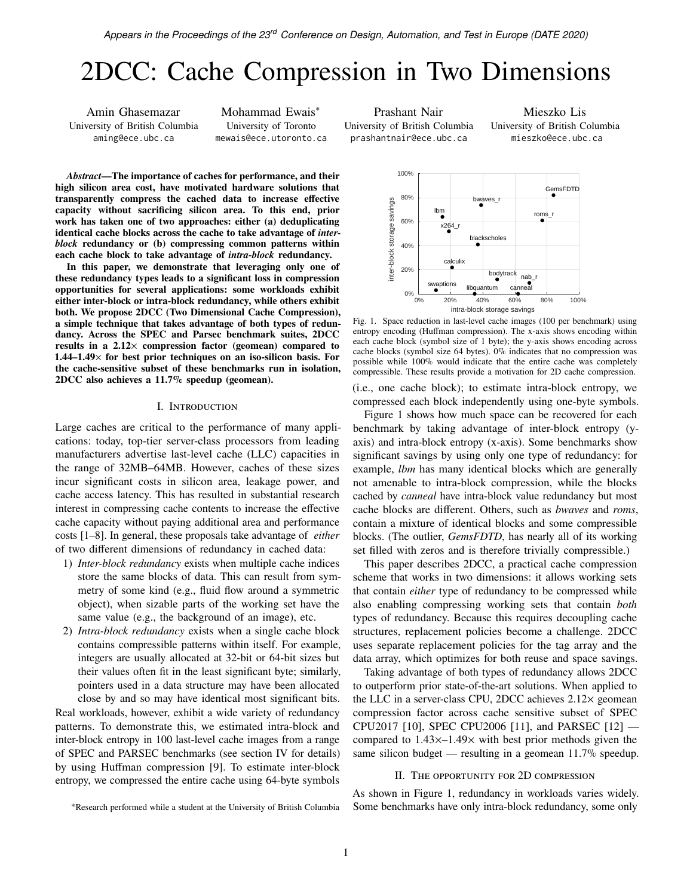# 2DCC: Cache Compression in Two Dimensions

Amin Ghasemazar University of British Columbia aming@ece.ubc.ca

Mohammad Ewais<sup>∗</sup> University of Toronto mewais@ece.utoronto.ca

Prashant Nair University of British Columbia prashantnair@ece.ubc.ca

100%

Mieszko Lis University of British Columbia mieszko@ece.ubc.ca

*Abstract***—The importance of caches for performance, and their high silicon area cost, have motivated hardware solutions that transparently compress the cached data to increase effective capacity without sacrificing silicon area. To this end, prior work has taken one of two approaches: either (a) deduplicating identical cache blocks across the cache to take advantage of** *interblock* **redundancy or (b) compressing common patterns within each cache block to take advantage of** *intra-block* **redundancy.**

**In this paper, we demonstrate that leveraging only one of these redundancy types leads to a significant loss in compression opportunities for several applications: some workloads exhibit either inter-block or intra-block redundancy, while others exhibit both. We propose 2DCC (Two Dimensional Cache Compression), a simple technique that takes advantage of both types of redundancy. Across the SPEC and Parsec benchmark suites, 2DCC results in a 2.12**× **compression factor (geomean) compared to 1.44–1.49**× **for best prior techniques on an iso-silicon basis. For the cache-sensitive subset of these benchmarks run in isolation, 2DCC also achieves a 11.7% speedup (geomean).**

# I. Introduction

Large caches are critical to the performance of many applications: today, top-tier server-class processors from leading manufacturers advertise last-level cache (LLC) capacities in the range of 32MB–64MB. However, caches of these sizes incur significant costs in silicon area, leakage power, and cache access latency. This has resulted in substantial research interest in compressing cache contents to increase the effective cache capacity without paying additional area and performance costs [\[1–](#page-5-0)[8\]](#page-5-1). In general, these proposals take advantage of *either* of two different dimensions of redundancy in cached data:

- 1) *Inter-block redundancy* exists when multiple cache indices store the same blocks of data. This can result from symmetry of some kind (e.g., fluid flow around a symmetric object), when sizable parts of the working set have the same value (e.g., the background of an image), etc.
- 2) *Intra-block redundancy* exists when a single cache block contains compressible patterns within itself. For example, integers are usually allocated at 32-bit or 64-bit sizes but their values often fit in the least significant byte; similarly, pointers used in a data structure may have been allocated close by and so may have identical most significant bits.

Real workloads, however, exhibit a wide variety of redundancy patterns. To demonstrate this, we estimated intra-block and inter-block entropy in 100 last-level cache images from a range of SPEC and PARSEC benchmarks (see [section IV](#page-3-0) for details) by using Huffman compression [\[9\]](#page-5-2). To estimate inter-block entropy, we compressed the entire cache using 64-byte symbols



<span id="page-0-0"></span>Fig. 1. Space reduction in last-level cache images (100 per benchmark) using entropy encoding (Huffman compression). The x-axis shows encoding within each cache block (symbol size of 1 byte); the y-axis shows encoding across cache blocks (symbol size 64 bytes). 0% indicates that no compression was possible while 100% would indicate that the entire cache was completely compressible. These results provide a motivation for 2D cache compression.

(i.e., one cache block); to estimate intra-block entropy, we compressed each block independently using one-byte symbols.

[Figure 1](#page-0-0) shows how much space can be recovered for each benchmark by taking advantage of inter-block entropy (yaxis) and intra-block entropy (x-axis). Some benchmarks show significant savings by using only one type of redundancy: for example, *lbm* has many identical blocks which are generally not amenable to intra-block compression, while the blocks cached by *canneal* have intra-block value redundancy but most cache blocks are different. Others, such as *bwaves* and *roms*, contain a mixture of identical blocks and some compressible blocks. (The outlier, *GemsFDTD*, has nearly all of its working set filled with zeros and is therefore trivially compressible.)

This paper describes 2DCC, a practical cache compression scheme that works in two dimensions: it allows working sets that contain *either* type of redundancy to be compressed while also enabling compressing working sets that contain *both* types of redundancy. Because this requires decoupling cache structures, replacement policies become a challenge. 2DCC uses separate replacement policies for the tag array and the data array, which optimizes for both reuse and space savings.

Taking advantage of both types of redundancy allows 2DCC to outperform prior state-of-the-art solutions. When applied to the LLC in a server-class CPU, 2DCC achieves 2.12× geomean compression factor across cache sensitive subset of SPEC CPU2017 [\[10\]](#page-5-3), SPEC CPU2006 [\[11\]](#page-5-4), and PARSEC [\[12\]](#page-5-5) compared to 1.43×–1.49× with best prior methods given the same silicon budget — resulting in a geomean 11.7% speedup.

#### II. The opportunity for 2D compression

As shown in [Figure 1,](#page-0-0) redundancy in workloads varies widely. Some benchmarks have only intra-block redundancy, some only

<sup>∗</sup>Research performed while a student at the University of British Columbia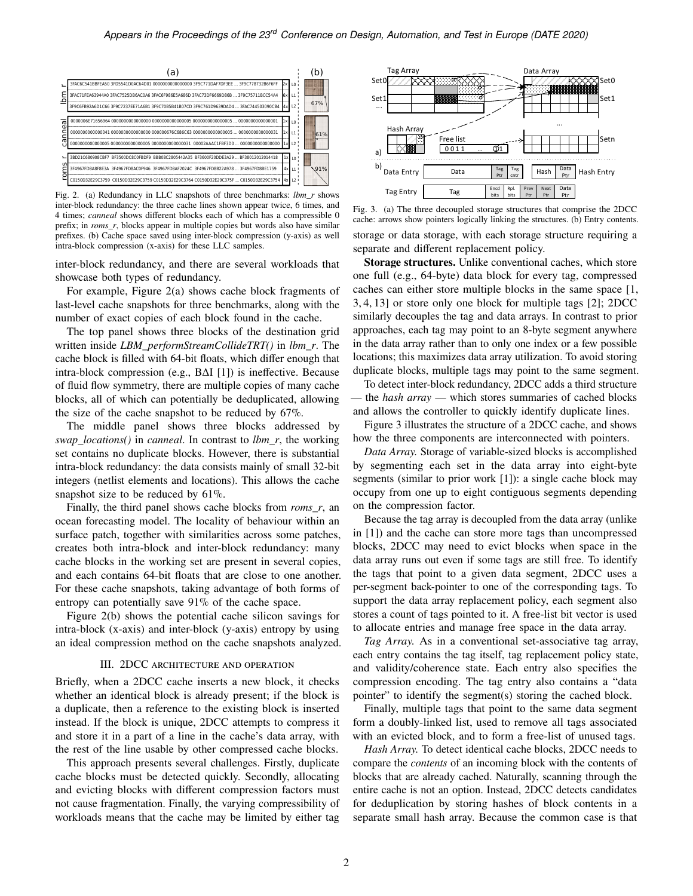

<span id="page-1-0"></span>Fig. 2. (a) Redundancy in LLC snapshots of three benchmarks: *lbm\_r* shows inter-block redundancy: the three cache lines shown appear twice, 6 times, and 4 times; *canneal* shows different blocks each of which has a compressible 0 prefix; in *roms\_r*, blocks appear in multiple copies but words also have similar prefixes. (b) Cache space saved using inter-block compression (y-axis) as well intra-block compression (x-axis) for these LLC samples.

inter-block redundancy, and there are several workloads that showcase both types of redundancy.

For example, [Figure 2\(](#page-1-0)a) shows cache block fragments of last-level cache snapshots for three benchmarks, along with the number of exact copies of each block found in the cache.

The top panel shows three blocks of the destination grid written inside *LBM\_performStreamCollideTRT()* in *lbm\_r*. The cache block is filled with 64-bit floats, which differ enough that intra-block compression (e.g., BΔI [\[1\]](#page-5-0)) is ineffective. Because of fluid flow symmetry, there are multiple copies of many cache blocks, all of which can potentially be deduplicated, allowing the size of the cache snapshot to be reduced by 67%.

The middle panel shows three blocks addressed by *swap\_locations()* in *canneal*. In contrast to *lbm\_r*, the working set contains no duplicate blocks. However, there is substantial intra-block redundancy: the data consists mainly of small 32-bit integers (netlist elements and locations). This allows the cache snapshot size to be reduced by 61%.

Finally, the third panel shows cache blocks from *roms\_r*, an ocean forecasting model. The locality of behaviour within an surface patch, together with similarities across some patches, creates both intra-block and inter-block redundancy: many cache blocks in the working set are present in several copies, and each contains 64-bit floats that are close to one another. For these cache snapshots, taking advantage of both forms of entropy can potentially save 91% of the cache space.

[Figure 2\(](#page-1-0)b) shows the potential cache silicon savings for intra-block (x-axis) and inter-block (y-axis) entropy by using an ideal compression method on the cache snapshots analyzed.

# III. 2DCC architecture and operation

Briefly, when a 2DCC cache inserts a new block, it checks whether an identical block is already present; if the block is a duplicate, then a reference to the existing block is inserted instead. If the block is unique, 2DCC attempts to compress it and store it in a part of a line in the cache's data array, with the rest of the line usable by other compressed cache blocks.

This approach presents several challenges. Firstly, duplicate cache blocks must be detected quickly. Secondly, allocating and evicting blocks with different compression factors must not cause fragmentation. Finally, the varying compressibility of workloads means that the cache may be limited by either tag



<span id="page-1-1"></span>Fig. 3. (a) The three decoupled storage structures that comprise the 2DCC cache: arrows show pointers logically linking the structures. (b) Entry contents. storage or data storage, with each storage structure requiring a separate and different replacement policy.

**Storage structures.** Unlike conventional caches, which store one full (e.g., 64-byte) data block for every tag, compressed caches can either store multiple blocks in the same space [\[1,](#page-5-0) [3,](#page-5-6) [4,](#page-5-7) [13\]](#page-5-8) or store only one block for multiple tags [\[2\]](#page-5-9); 2DCC similarly decouples the tag and data arrays. In contrast to prior approaches, each tag may point to an 8-byte segment anywhere in the data array rather than to only one index or a few possible locations; this maximizes data array utilization. To avoid storing duplicate blocks, multiple tags may point to the same segment.

To detect inter-block redundancy, 2DCC adds a third structure — the *hash array* — which stores summaries of cached blocks and allows the controller to quickly identify duplicate lines.

[Figure 3](#page-1-1) illustrates the structure of a 2DCC cache, and shows how the three components are interconnected with pointers.

*Data Array.* Storage of variable-sized blocks is accomplished by segmenting each set in the data array into eight-byte segments (similar to prior work [\[1\]](#page-5-0)): a single cache block may occupy from one up to eight contiguous segments depending on the compression factor.

Because the tag array is decoupled from the data array (unlike in [\[1\]](#page-5-0)) and the cache can store more tags than uncompressed blocks, 2DCC may need to evict blocks when space in the data array runs out even if some tags are still free. To identify the tags that point to a given data segment, 2DCC uses a per-segment back-pointer to one of the corresponding tags. To support the data array replacement policy, each segment also stores a count of tags pointed to it. A free-list bit vector is used to allocate entries and manage free space in the data array.

*Tag Array.* As in a conventional set-associative tag array, each entry contains the tag itself, tag replacement policy state, and validity/coherence state. Each entry also specifies the compression encoding. The tag entry also contains a "data pointer" to identify the segment(s) storing the cached block.

Finally, multiple tags that point to the same data segment form a doubly-linked list, used to remove all tags associated with an evicted block, and to form a free-list of unused tags.

*Hash Array.* To detect identical cache blocks, 2DCC needs to compare the *contents* of an incoming block with the contents of blocks that are already cached. Naturally, scanning through the entire cache is not an option. Instead, 2DCC detects candidates for deduplication by storing hashes of block contents in a separate small hash array. Because the common case is that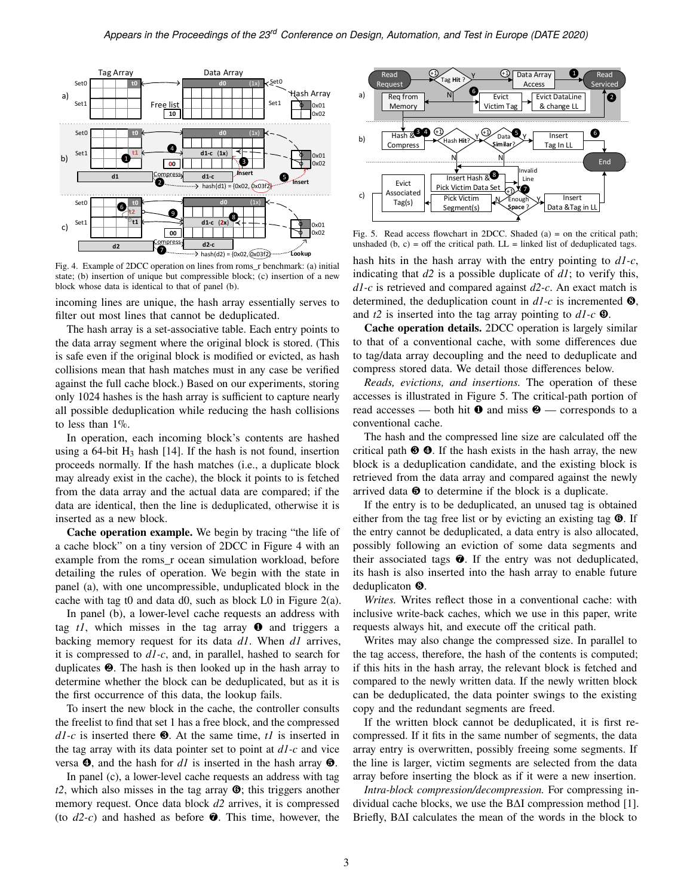

<span id="page-2-0"></span>Fig. 4. Example of 2DCC operation on lines from roms\_r benchmark: (a) initial state; (b) insertion of unique but compressible block; (c) insertion of a new block whose data is identical to that of panel (b).

incoming lines are unique, the hash array essentially serves to filter out most lines that cannot be deduplicated.

The hash array is a set-associative table. Each entry points to the data array segment where the original block is stored. (This is safe even if the original block is modified or evicted, as hash collisions mean that hash matches must in any case be verified against the full cache block.) Based on our experiments, storing only 1024 hashes is the hash array is sufficient to capture nearly all possible deduplication while reducing the hash collisions to less than 1%.

In operation, each incoming block's contents are hashed using a 64-bit  $H_3$  hash [\[14\]](#page-5-10). If the hash is not found, insertion proceeds normally. If the hash matches (i.e., a duplicate block may already exist in the cache), the block it points to is fetched from the data array and the actual data are compared; if the data are identical, then the line is deduplicated, otherwise it is inserted as a new block.

**Cache operation example.** We begin by tracing "the life of a cache block" on a tiny version of 2DCC in [Figure 4](#page-2-0) with an example from the roms\_r ocean simulation workload, before detailing the rules of operation. We begin with the state in panel (a), with one uncompressible, unduplicated block in the cache with tag t0 and data d0, such as block L0 in [Figure 2\(](#page-1-0)a).

In panel (b), a lower-level cache requests an address with tag  $tI$ , which misses in the tag array  $\bullet$  and triggers a backing memory request for its data *d1*. When *d1* arrives, it is compressed to *d1-c*, and, in parallel, hashed to search for duplicates ❷. The hash is then looked up in the hash array to determine whether the block can be deduplicated, but as it is the first occurrence of this data, the lookup fails.

To insert the new block in the cache, the controller consults the freelist to find that set 1 has a free block, and the compressed *d1-c* is inserted there ❸. At the same time, *t1* is inserted in the tag array with its data pointer set to point at *d1-c* and vice versa ❹, and the hash for *d1* is inserted in the hash array ❺.

In panel (c), a lower-level cache requests an address with tag *t2*, which also misses in the tag array ❻; this triggers another memory request. Once data block *d2* arrives, it is compressed (to  $d2-c$ ) and hashed as before  $\bullet$ . This time, however, the



<span id="page-2-1"></span>Fig. 5. Read access flowchart in 2DCC. Shaded (a) = on the critical path; unshaded (b, c) = off the critical path.  $LL =$  linked list of deduplicated tags.

hash hits in the hash array with the entry pointing to *d1-c*, indicating that *d2* is a possible duplicate of *d1*; to verify this, *d1-c* is retrieved and compared against *d2-c*. An exact match is determined, the deduplication count in *d1-c* is incremented ❽, and *t2* is inserted into the tag array pointing to *d1-c* ❾.

**Cache operation details.** 2DCC operation is largely similar to that of a conventional cache, with some differences due to tag/data array decoupling and the need to deduplicate and compress stored data. We detail those differences below.

*Reads, evictions, and insertions.* The operation of these accesses is illustrated in [Figure 5.](#page-2-1) The critical-path portion of read accesses — both hit  $\bullet$  and miss  $\bullet$  — corresponds to a conventional cache.

The hash and the compressed line size are calculated off the critical path  $\Theta$   $\Theta$ . If the hash exists in the hash array, the new block is a deduplication candidate, and the existing block is retrieved from the data array and compared against the newly arrived data  $\Theta$  to determine if the block is a duplicate.

If the entry is to be deduplicated, an unused tag is obtained either from the tag free list or by evicting an existing tag  $\Theta$ . If the entry cannot be deduplicated, a data entry is also allocated, possibly following an eviction of some data segments and their associated tags ❼. If the entry was not deduplicated, its hash is also inserted into the hash array to enable future deduplicaton ❽.

*Writes.* Writes reflect those in a conventional cache: with inclusive write-back caches, which we use in this paper, write requests always hit, and execute off the critical path.

Writes may also change the compressed size. In parallel to the tag access, therefore, the hash of the contents is computed; if this hits in the hash array, the relevant block is fetched and compared to the newly written data. If the newly written block can be deduplicated, the data pointer swings to the existing copy and the redundant segments are freed.

If the written block cannot be deduplicated, it is first recompressed. If it fits in the same number of segments, the data array entry is overwritten, possibly freeing some segments. If the line is larger, victim segments are selected from the data array before inserting the block as if it were a new insertion.

*Intra-block compression/decompression.* For compressing individual cache blocks, we use the BΔI compression method [\[1\]](#page-5-0). Briefly, BΔI calculates the mean of the words in the block to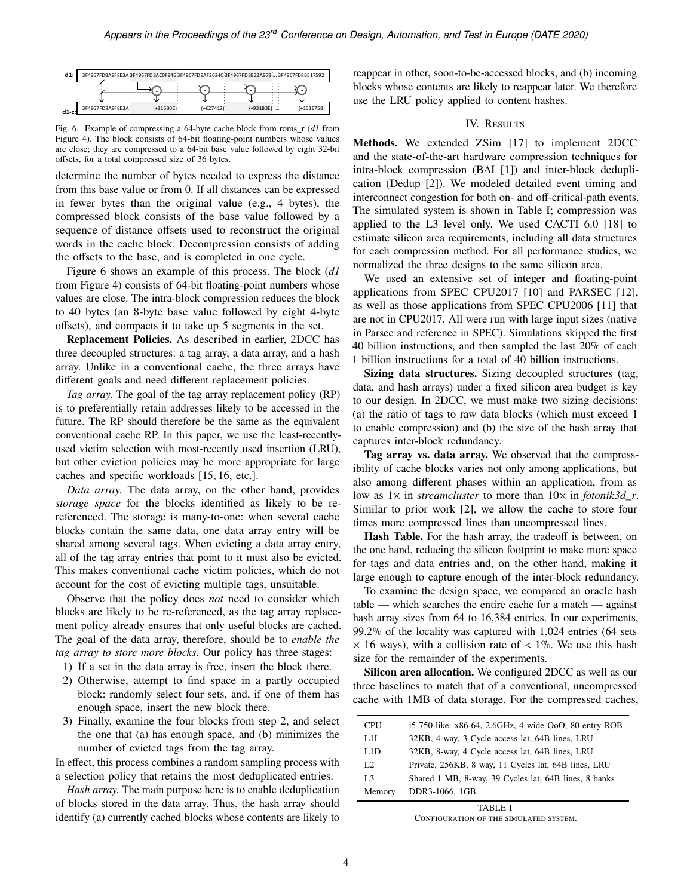| $d1$ :   |                  |             |             | 3F4967FD8A8F8E3A3F4967FD8AC0F9463F4967FD8AF2024C3F4967FD8B22A9783F4967FD8BE17592 |              |
|----------|------------------|-------------|-------------|----------------------------------------------------------------------------------|--------------|
|          |                  |             |             |                                                                                  |              |
| $d1-c$ : | 3F4967FD8A8F8E3A | $(+316BOC)$ | $(+627412)$ | $(+931B3E)$                                                                      | $(+151E758)$ |

<span id="page-3-1"></span>Fig. 6. Example of compressing a 64-byte cache block from roms\_r (*d1* from [Figure 4\)](#page-2-0). The block consists of 64-bit floating-point numbers whose values are close; they are compressed to a 64-bit base value followed by eight 32-bit offsets, for a total compressed size of 36 bytes.

determine the number of bytes needed to express the distance from this base value or from 0. If all distances can be expressed in fewer bytes than the original value (e.g., 4 bytes), the compressed block consists of the base value followed by a sequence of distance offsets used to reconstruct the original words in the cache block. Decompression consists of adding the offsets to the base, and is completed in one cycle.

[Figure 6](#page-3-1) shows an example of this process. The block (*d1* from [Figure 4\)](#page-2-0) consists of 64-bit floating-point numbers whose values are close. The intra-block compression reduces the block to 40 bytes (an 8-byte base value followed by eight 4-byte offsets), and compacts it to take up 5 segments in the set.

**Replacement Policies.** As described in earlier, 2DCC has three decoupled structures: a tag array, a data array, and a hash array. Unlike in a conventional cache, the three arrays have different goals and need different replacement policies.

*Tag array.* The goal of the tag array replacement policy (RP) is to preferentially retain addresses likely to be accessed in the future. The RP should therefore be the same as the equivalent conventional cache RP. In this paper, we use the least-recentlyused victim selection with most-recently used insertion (LRU), but other eviction policies may be more appropriate for large caches and specific workloads [\[15,](#page-5-11) [16,](#page-5-12) etc.].

*Data array.* The data array, on the other hand, provides *storage space* for the blocks identified as likely to be rereferenced. The storage is many-to-one: when several cache blocks contain the same data, one data array entry will be shared among several tags. When evicting a data array entry, all of the tag array entries that point to it must also be evicted. This makes conventional cache victim policies, which do not account for the cost of evicting multiple tags, unsuitable.

Observe that the policy does *not* need to consider which blocks are likely to be re-referenced, as the tag array replacement policy already ensures that only useful blocks are cached. The goal of the data array, therefore, should be to *enable the tag array to store more blocks*. Our policy has three stages:

1) If a set in the data array is free, insert the block there.

- <span id="page-3-2"></span>2) Otherwise, attempt to find space in a partly occupied block: randomly select four sets, and, if one of them has enough space, insert the new block there.
- 3) Finally, examine the four blocks from step [2,](#page-3-2) and select the one that (a) has enough space, and (b) minimizes the number of evicted tags from the tag array.

In effect, this process combines a random sampling process with a selection policy that retains the most deduplicated entries.

*Hash array.* The main purpose here is to enable deduplication of blocks stored in the data array. Thus, the hash array should identify (a) currently cached blocks whose contents are likely to reappear in other, soon-to-be-accessed blocks, and (b) incoming blocks whose contents are likely to reappear later. We therefore use the LRU policy applied to content hashes.

### IV. RESULTS

<span id="page-3-0"></span>**Methods.** We extended ZSim [\[17\]](#page-5-13) to implement 2DCC and the state-of-the-art hardware compression techniques for intra-block compression (BΔI [\[1\]](#page-5-0)) and inter-block deduplication (Dedup [\[2\]](#page-5-9)). We modeled detailed event timing and interconnect congestion for both on- and off-critical-path events. The simulated system is shown in [Table I;](#page-3-3) compression was applied to the L3 level only. We used CACTI 6.0 [\[18\]](#page-5-14) to estimate silicon area requirements, including all data structures for each compression method. For all performance studies, we normalized the three designs to the same silicon area.

We used an extensive set of integer and floating-point applications from SPEC CPU2017 [\[10\]](#page-5-3) and PARSEC [\[12\]](#page-5-5), as well as those applications from SPEC CPU2006 [\[11\]](#page-5-4) that are not in CPU2017. All were run with large input sizes (native in Parsec and reference in SPEC). Simulations skipped the first 40 billion instructions, and then sampled the last 20% of each 1 billion instructions for a total of 40 billion instructions.

**Sizing data structures.** Sizing decoupled structures (tag, data, and hash arrays) under a fixed silicon area budget is key to our design. In 2DCC, we must make two sizing decisions: (a) the ratio of tags to raw data blocks (which must exceed 1 to enable compression) and (b) the size of the hash array that captures inter-block redundancy.

**Tag array vs. data array.** We observed that the compressibility of cache blocks varies not only among applications, but also among different phases within an application, from as low as  $1\times$  in *streamcluster* to more than  $10\times$  in *fotonik3d r*. Similar to prior work [\[2\]](#page-5-9), we allow the cache to store four times more compressed lines than uncompressed lines.

**Hash Table.** For the hash array, the tradeoff is between, on the one hand, reducing the silicon footprint to make more space for tags and data entries and, on the other hand, making it large enough to capture enough of the inter-block redundancy.

To examine the design space, we compared an oracle hash table — which searches the entire cache for a match — against hash array sizes from 64 to 16,384 entries. In our experiments, 99.2% of the locality was captured with 1,024 entries (64 sets  $\times$  16 ways), with a collision rate of  $< 1\%$ . We use this hash size for the remainder of the experiments.

**Silicon area allocation.** We configured 2DCC as well as our three baselines to match that of a conventional, uncompressed cache with 1MB of data storage. For the compressed caches,

| <b>CPU</b>     | i5-750-like: x86-64, 2.6GHz, 4-wide OoO, 80 entry ROB |
|----------------|-------------------------------------------------------|
| L1I            | 32KB, 4-way, 3 Cycle access lat, 64B lines, LRU       |
| L1D            | 32KB, 8-way, 4 Cycle access lat, 64B lines, LRU       |
| L2             | Private, 256KB, 8 way, 11 Cycles lat, 64B lines, LRU  |
| L <sub>3</sub> | Shared 1 MB, 8-way, 39 Cycles lat, 64B lines, 8 banks |
| Memory         | DDR3-1066, 1GB                                        |

<span id="page-3-3"></span>TABLE I Configuration of the simulated system.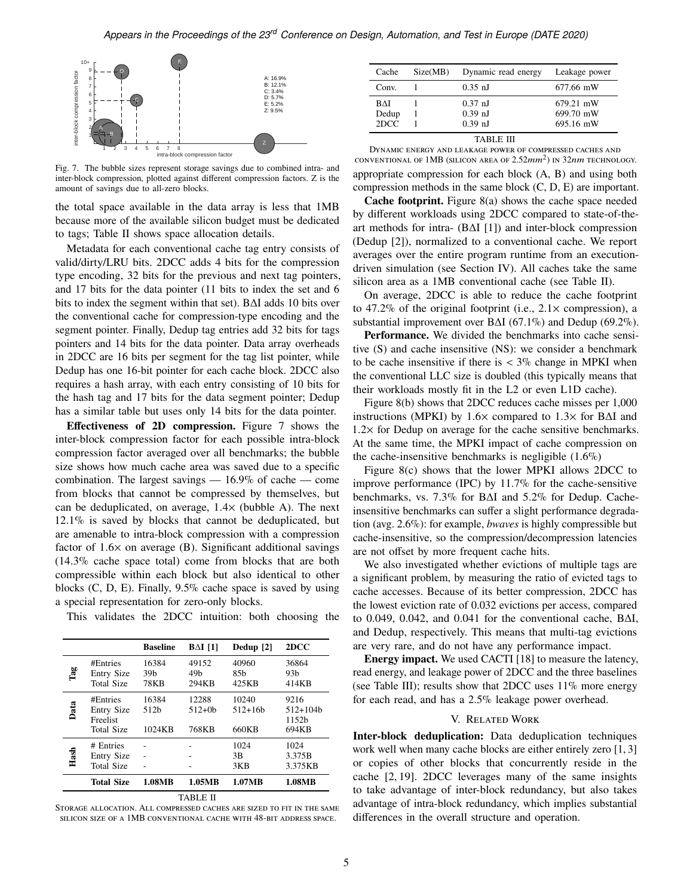

<span id="page-4-1"></span>Fig. 7. The bubble sizes represent storage savings due to combined intra- and inter-block compression, plotted against different compression factors. Z is the amount of savings due to all-zero blocks.

the total space available in the data array is less that 1MB because more of the available silicon budget must be dedicated to tags; [Table II](#page-4-0) shows space allocation details.

Metadata for each conventional cache tag entry consists of valid/dirty/LRU bits. 2DCC adds 4 bits for the compression type encoding, 32 bits for the previous and next tag pointers, and 17 bits for the data pointer (11 bits to index the set and 6 bits to index the segment within that set). BΔI adds 10 bits over the conventional cache for compression-type encoding and the segment pointer. Finally, Dedup tag entries add 32 bits for tags pointers and 14 bits for the data pointer. Data array overheads in 2DCC are 16 bits per segment for the tag list pointer, while Dedup has one 16-bit pointer for each cache block. 2DCC also requires a hash array, with each entry consisting of 10 bits for the hash tag and 17 bits for the data segment pointer; Dedup has a similar table but uses only 14 bits for the data pointer.

**Effectiveness of 2D compression.** [Figure 7](#page-4-1) shows the inter-block compression factor for each possible intra-block compression factor averaged over all benchmarks; the bubble size shows how much cache area was saved due to a specific combination. The largest savings — 16.9% of cache — come from blocks that cannot be compressed by themselves, but can be deduplicated, on average, 1.4× (bubble A). The next 12.1% is saved by blocks that cannot be deduplicated, but are amenable to intra-block compression with a compression factor of 1.6× on average (B). Significant additional savings (14.3% cache space total) come from blocks that are both compressible within each block but also identical to other blocks (C, D, E). Finally, 9.5% cache space is saved by using a special representation for zero-only blocks.

This validates the 2DCC intuition: both choosing the

|                                                                | <b>Baseline</b>                  | $BAI$ [1]                         | Dedup [2]                         | 2DCC                                             |
|----------------------------------------------------------------|----------------------------------|-----------------------------------|-----------------------------------|--------------------------------------------------|
| #Entries<br>Entry Size<br>Total Size                           | 16384<br>39 <sub>b</sub><br>78KB | 49152<br>49 <sub>b</sub><br>294KB | 40960<br>85 <sub>b</sub><br>425KB | 36864<br>93 <sub>b</sub><br>414KB                |
| #Entries<br><b>Entry Size</b><br>Freelist<br><b>Total Size</b> | 16384<br>512b<br>1024KB          | 12288<br>$512 + 0h$<br>768KB      | 10240<br>$512 + 16h$<br>660KB     | 9216<br>$512+104h$<br>1152 <sub>b</sub><br>694KB |
| # Entries<br><b>Entry Size</b><br><b>Total Size</b>            |                                  |                                   | 1024<br>3B<br>3KB                 | 1024<br>3.375B<br>3.375KB                        |
| <b>Total Size</b>                                              | 1.08MB                           | 1.05MB                            | 1.07MB                            | 1.08MB                                           |
|                                                                |                                  |                                   |                                   |                                                  |

<span id="page-4-0"></span>Storage allocation. All compressed caches are sized to fit in the same silicon size of a 1MB conventional cache with 48-bit address space.

| Cache      | Size(MB) | Dynamic read energy | Leakage power |
|------------|----------|---------------------|---------------|
| Conv.      |          | $0.35$ nJ           | 677.66 mW     |
| <b>BAI</b> |          | $0.37$ nJ           | 679.21 mW     |
| Dedup      |          | $0.39$ nJ           | 699.70 mW     |
| 2DCC       |          | $0.39$ nJ           | 695.16 mW     |

<span id="page-4-2"></span>Dynamic energy and leakage power of compressed caches and conventional of 1MB (silicon area of  $2.52mm^2$ ) in  $32nm$  technology. appropriate compression for each block (A, B) and using both compression methods in the same block (C, D, E) are important.

**Cache footprint.** [Figure 8\(](#page-5-15)a) shows the cache space needed by different workloads using 2DCC compared to state-of-theart methods for intra- (BΔI [\[1\]](#page-5-0)) and inter-block compression (Dedup [\[2\]](#page-5-9)), normalized to a conventional cache. We report averages over the entire program runtime from an executiondriven simulation (see Section [IV\)](#page-3-0). All caches take the same silicon area as a 1MB conventional cache (see [Table II\)](#page-4-0).

On average, 2DCC is able to reduce the cache footprint to 47.2% of the original footprint (i.e.,  $2.1 \times$  compression), a substantial improvement over BΔI (67.1%) and Dedup (69.2%).

Performance. We divided the benchmarks into cache sensitive (S) and cache insensitive (NS): we consider a benchmark to be cache insensitive if there is  $\langle 3\% \rangle$  change in MPKI when the conventional LLC size is doubled (this typically means that their workloads mostly fit in the L2 or even L1D cache).

[Figure 8\(](#page-5-15)b) shows that 2DCC reduces cache misses per 1,000 instructions (MPKI) by  $1.6 \times$  compared to  $1.3 \times$  for B $\Delta$ I and  $1.2\times$  for Dedup on average for the cache sensitive benchmarks. At the same time, the MPKI impact of cache compression on the cache-insensitive benchmarks is negligible  $(1.6\%)$ 

[Figure 8\(](#page-5-15)c) shows that the lower MPKI allows 2DCC to improve performance (IPC) by 11.7% for the cache-sensitive benchmarks, vs. 7.3% for BΔI and 5.2% for Dedup. Cacheinsensitive benchmarks can suffer a slight performance degradation (avg. 2.6%): for example, *bwaves* is highly compressible but cache-insensitive, so the compression/decompression latencies are not offset by more frequent cache hits.

We also investigated whether evictions of multiple tags are a significant problem, by measuring the ratio of evicted tags to cache accesses. Because of its better compression, 2DCC has the lowest eviction rate of 0.032 evictions per access, compared to 0.049, 0.042, and 0.041 for the conventional cache, BΔI, and Dedup, respectively. This means that multi-tag evictions are very rare, and do not have any performance impact.

**Energy impact.** We used CACTI [\[18\]](#page-5-14) to measure the latency, read energy, and leakage power of 2DCC and the three baselines (see [Table III\)](#page-4-2); results show that 2DCC uses 11% more energy for each read, and has a 2.5% leakage power overhead.

#### V. Related Work

**Inter-block deduplication:** Data deduplication techniques work well when many cache blocks are either entirely zero [\[1,](#page-5-0) [3\]](#page-5-6) or copies of other blocks that concurrently reside in the cache [\[2,](#page-5-9) [19\]](#page-5-16). 2DCC leverages many of the same insights to take advantage of inter-block redundancy, but also takes advantage of intra-block redundancy, which implies substantial differences in the overall structure and operation.